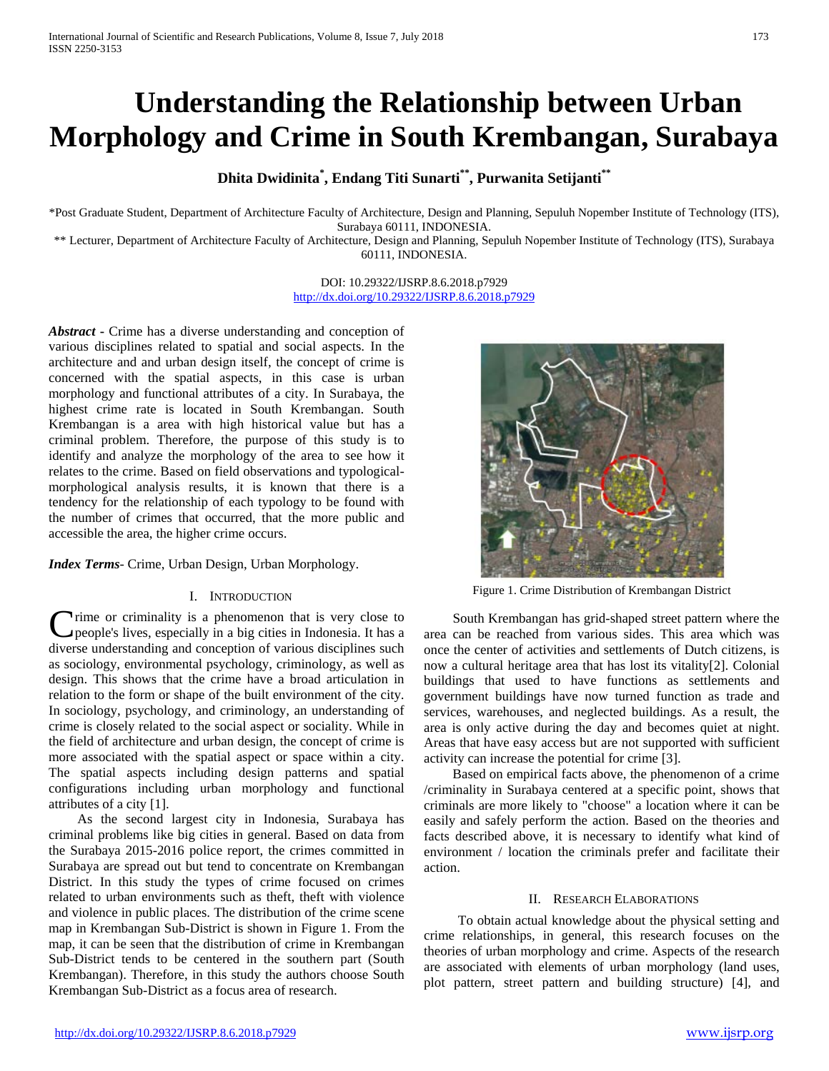# **Understanding the Relationship between Urban Morphology and Crime in South Krembangan, Surabaya**

# **Dhita Dwidinita\* , Endang Titi Sunarti\*\*, Purwanita Setijanti\*\***

\*Post Graduate Student, Department of Architecture Faculty of Architecture, Design and Planning, Sepuluh Nopember Institute of Technology (ITS), Surabaya 60111, INDONESIA.

\*\* Lecturer, Department of Architecture Faculty of Architecture, Design and Planning, Sepuluh Nopember Institute of Technology (ITS), Surabaya 60111, INDONESIA.

> DOI: 10.29322/IJSRP.8.6.2018.p7929 <http://dx.doi.org/10.29322/IJSRP.8.6.2018.p7929>

*Abstract* **-** Crime has a diverse understanding and conception of various disciplines related to spatial and social aspects. In the architecture and and urban design itself, the concept of crime is concerned with the spatial aspects, in this case is urban morphology and functional attributes of a city. In Surabaya, the highest crime rate is located in South Krembangan. South Krembangan is a area with high historical value but has a criminal problem. Therefore, the purpose of this study is to identify and analyze the morphology of the area to see how it relates to the crime. Based on field observations and typologicalmorphological analysis results, it is known that there is a tendency for the relationship of each typology to be found with the number of crimes that occurred, that the more public and accessible the area, the higher crime occurs.

*Index Terms*- Crime, Urban Design, Urban Morphology.

### I. INTRODUCTION

**Trime or criminality is a phenomenon that is very close to** people's lives, especially in a big cities in Indonesia. It has a Crime or criminality is a phenomenon that is very close to people's lives, especially in a big cities in Indonesia. It has a diverse understanding and conception of various disciplines such as sociology, environmental psychology, criminology, as well as design. This shows that the crime have a broad articulation in relation to the form or shape of the built environment of the city. In sociology, psychology, and criminology, an understanding of crime is closely related to the social aspect or sociality. While in the field of architecture and urban design, the concept of crime is more associated with the spatial aspect or space within a city. The spatial aspects including design patterns and spatial configurations including urban morphology and functional attributes of a city [1].

As the second largest city in Indonesia, Surabaya has criminal problems like big cities in general. Based on data from the Surabaya 2015-2016 police report, the crimes committed in Surabaya are spread out but tend to concentrate on Krembangan District. In this study the types of crime focused on crimes related to urban environments such as theft, theft with violence and violence in public places. The distribution of the crime scene map in Krembangan Sub-District is shown in Figure 1. From the map, it can be seen that the distribution of crime in Krembangan Sub-District tends to be centered in the southern part (South Krembangan). Therefore, in this study the authors choose South Krembangan Sub-District as a focus area of research.



Figure 1. Crime Distribution of Krembangan District

South Krembangan has grid-shaped street pattern where the area can be reached from various sides. This area which was once the center of activities and settlements of Dutch citizens, is now a cultural heritage area that has lost its vitality[2]. Colonial buildings that used to have functions as settlements and government buildings have now turned function as trade and services, warehouses, and neglected buildings. As a result, the area is only active during the day and becomes quiet at night. Areas that have easy access but are not supported with sufficient activity can increase the potential for crime [3].

Based on empirical facts above, the phenomenon of a crime /criminality in Surabaya centered at a specific point, shows that criminals are more likely to "choose" a location where it can be easily and safely perform the action. Based on the theories and facts described above, it is necessary to identify what kind of environment / location the criminals prefer and facilitate their action.

#### II. RESEARCH ELABORATIONS

To obtain actual knowledge about the physical setting and crime relationships, in general, this research focuses on the theories of urban morphology and crime. Aspects of the research are associated with elements of urban morphology (land uses, plot pattern, street pattern and building structure) [4], and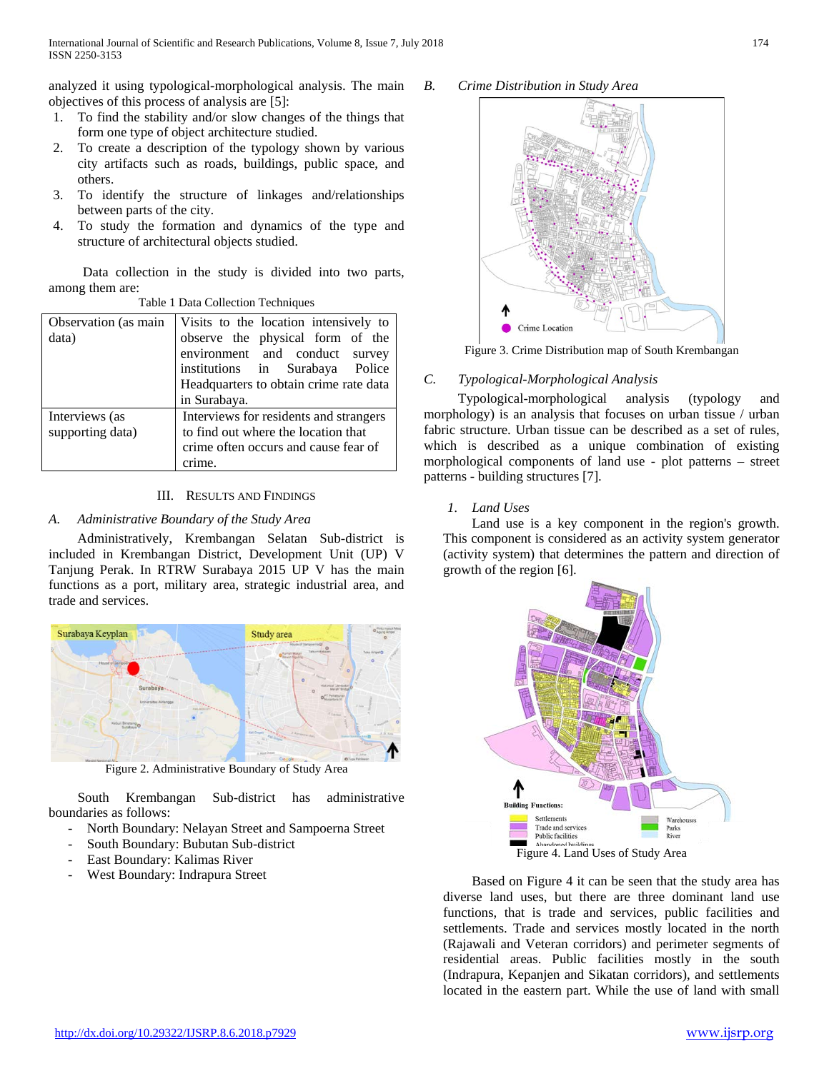analyzed it using typological-morphological analysis. The main objectives of this process of analysis are [5]:

- 1. To find the stability and/or slow changes of the things that form one type of object architecture studied.
- 2. To create a description of the typology shown by various city artifacts such as roads, buildings, public space, and others.
- 3. To identify the structure of linkages and/relationships between parts of the city.
- 4. To study the formation and dynamics of the type and structure of architectural objects studied.

Data collection in the study is divided into two parts, among them are:

| Observation (as main | Visits to the location intensively to  |  |
|----------------------|----------------------------------------|--|
| data)                | observe the physical form of the       |  |
|                      | environment and conduct survey         |  |
|                      | institutions in Surabaya Police        |  |
|                      | Headquarters to obtain crime rate data |  |
|                      | in Surabaya.                           |  |
| Interviews (as       | Interviews for residents and strangers |  |
| supporting data)     | to find out where the location that    |  |
|                      | crime often occurs and cause fear of   |  |
|                      | crime.                                 |  |

# Table 1 Data Collection Techniques

### III. RESULTS AND FINDINGS

## *A. Administrative Boundary of the Study Area*

Administratively, Krembangan Selatan Sub-district is included in Krembangan District, Development Unit (UP) V Tanjung Perak. In RTRW Surabaya 2015 UP V has the main functions as a port, military area, strategic industrial area, and trade and services.



Figure 2. Administrative Boundary of Study Area

South Krembangan Sub-district has administrative boundaries as follows:

- North Boundary: Nelayan Street and Sampoerna Street
- South Boundary: Bubutan Sub-district
- East Boundary: Kalimas River
- West Boundary: Indrapura Street

## *B. Crime Distribution in Study Area*



Figure 3. Crime Distribution map of South Krembangan

## *C. Typological-Morphological Analysis*

Typological-morphological analysis (typology and morphology) is an analysis that focuses on urban tissue / urban fabric structure. Urban tissue can be described as a set of rules, which is described as a unique combination of existing morphological components of land use - plot patterns – street patterns - building structures [7].

## *1. Land Uses*

Land use is a key component in the region's growth. This component is considered as an activity system generator (activity system) that determines the pattern and direction of growth of the region [6].



Based on Figure 4 it can be seen that the study area has diverse land uses, but there are three dominant land use functions, that is trade and services, public facilities and settlements. Trade and services mostly located in the north (Rajawali and Veteran corridors) and perimeter segments of residential areas. Public facilities mostly in the south (Indrapura, Kepanjen and Sikatan corridors), and settlements located in the eastern part. While the use of land with small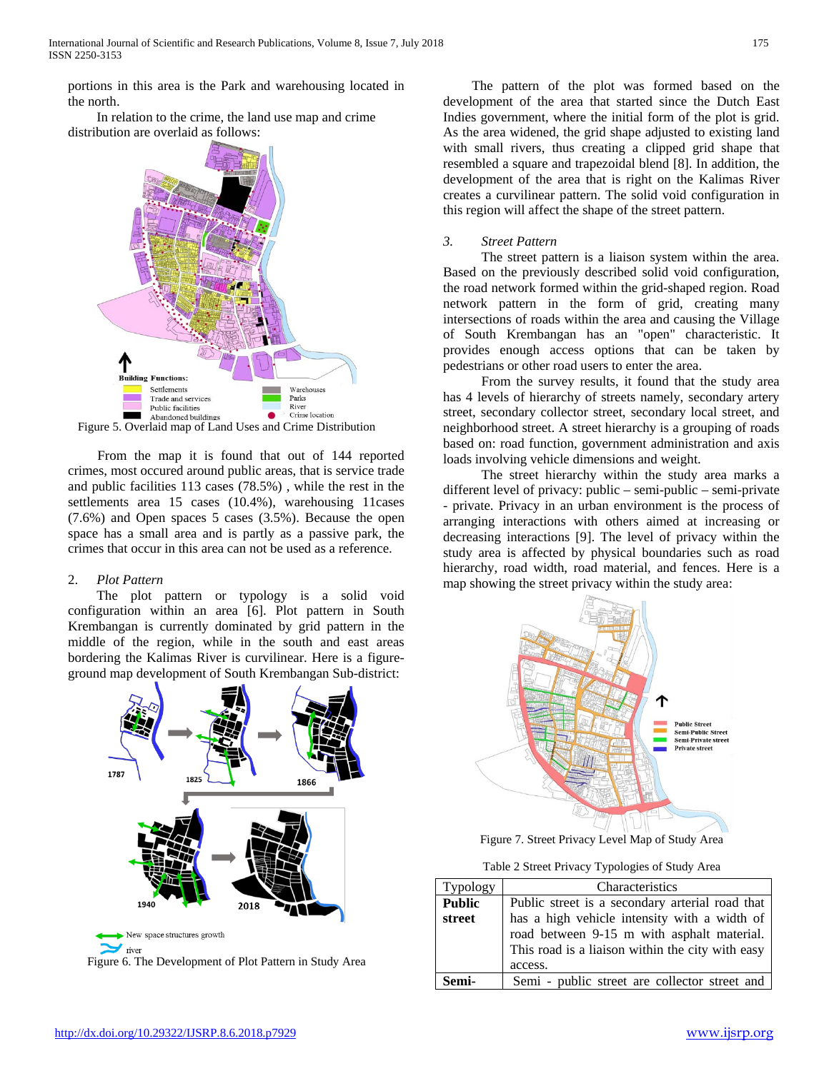portions in this area is the Park and warehousing located in the north.

In relation to the crime, the land use map and crime distribution are overlaid as follows:



From the map it is found that out of 144 reported crimes, most occured around public areas, that is service trade and public facilities 113 cases (78.5%) , while the rest in the settlements area 15 cases (10.4%), warehousing 11cases (7.6%) and Open spaces 5 cases (3.5%). Because the open space has a small area and is partly as a passive park, the crimes that occur in this area can not be used as a reference.

## 2. *Plot Pattern*

The plot pattern or typology is a solid void configuration within an area [6]. Plot pattern in South Krembangan is currently dominated by grid pattern in the middle of the region, while in the south and east areas bordering the Kalimas River is curvilinear. Here is a figureground map development of South Krembangan Sub-district:





The pattern of the plot was formed based on the development of the area that started since the Dutch East Indies government, where the initial form of the plot is grid. As the area widened, the grid shape adjusted to existing land with small rivers, thus creating a clipped grid shape that resembled a square and trapezoidal blend [8]. In addition, the development of the area that is right on the Kalimas River creates a curvilinear pattern. The solid void configuration in this region will affect the shape of the street pattern.

## *3. Street Pattern*

The street pattern is a liaison system within the area. Based on the previously described solid void configuration, the road network formed within the grid-shaped region. Road network pattern in the form of grid, creating many intersections of roads within the area and causing the Village of South Krembangan has an "open" characteristic. It provides enough access options that can be taken by pedestrians or other road users to enter the area.

From the survey results, it found that the study area has 4 levels of hierarchy of streets namely, secondary artery street, secondary collector street, secondary local street, and neighborhood street. A street hierarchy is a grouping of roads based on: road function, government administration and axis loads involving vehicle dimensions and weight.

The street hierarchy within the study area marks a different level of privacy: public – semi-public – semi-private - private. Privacy in an urban environment is the process of arranging interactions with others aimed at increasing or decreasing interactions [9]. The level of privacy within the study area is affected by physical boundaries such as road hierarchy, road width, road material, and fences. Here is a map showing the street privacy within the study area:



Figure 7. Street Privacy Level Map of Study Area

Table 2 Street Privacy Typologies of Study Area

| Typology      | Characteristics                                                                                                                                           |
|---------------|-----------------------------------------------------------------------------------------------------------------------------------------------------------|
| <b>Public</b> | Public street is a secondary arterial road that                                                                                                           |
| street        | has a high vehicle intensity with a width of<br>road between 9-15 m with asphalt material.<br>This road is a liaison within the city with easy<br>access. |
| Semi-         | Semi - public street are collector street and                                                                                                             |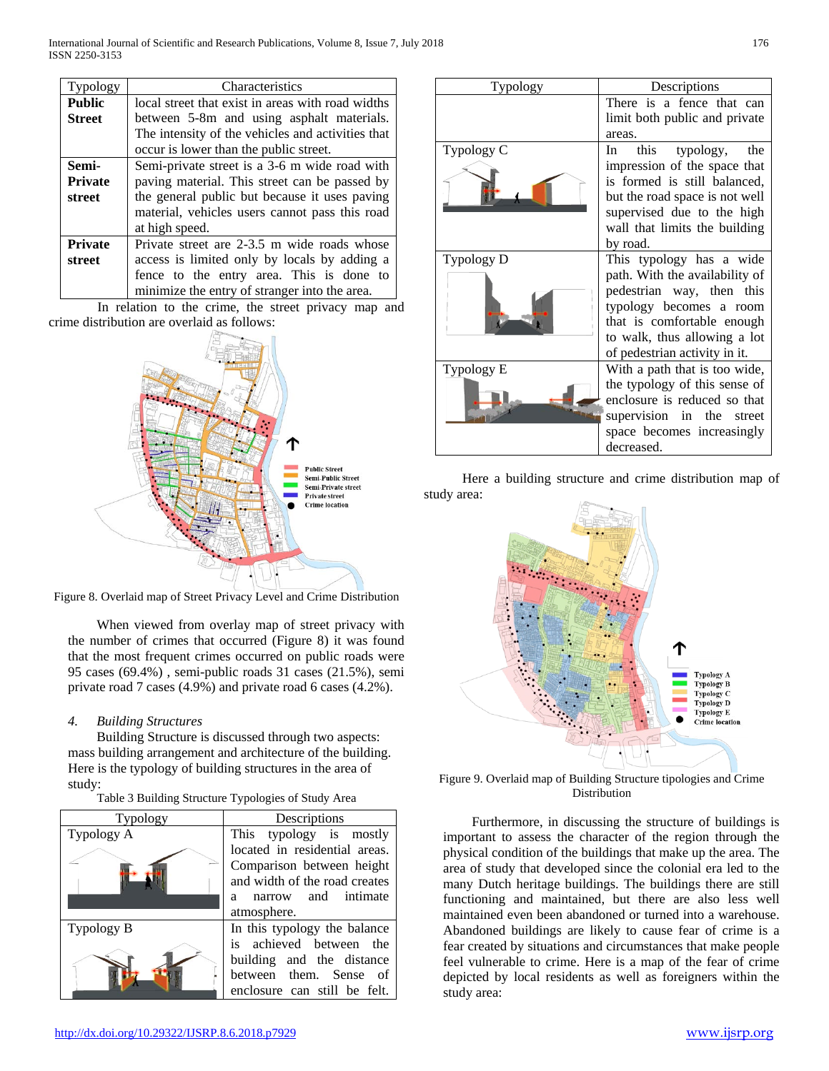| Typology       | Characteristics                                   |
|----------------|---------------------------------------------------|
| <b>Public</b>  | local street that exist in areas with road widths |
| <b>Street</b>  | between 5-8m and using asphalt materials.         |
|                | The intensity of the vehicles and activities that |
|                | occur is lower than the public street.            |
| Semi-          | Semi-private street is a 3-6 m wide road with     |
| <b>Private</b> | paving material. This street can be passed by     |
| street         | the general public but because it uses paving     |
|                | material, vehicles users cannot pass this road    |
|                | at high speed.                                    |
| <b>Private</b> | Private street are 2-3.5 m wide roads whose       |
| street         | access is limited only by locals by adding a      |
|                | fence to the entry area. This is done to          |
|                | minimize the entry of stranger into the area.     |

In relation to the crime, the street privacy map and crime distribution are overlaid as follows:



Figure 8. Overlaid map of Street Privacy Level and Crime Distribution

When viewed from overlay map of street privacy with the number of crimes that occurred (Figure 8) it was found that the most frequent crimes occurred on public roads were 95 cases (69.4%) , semi-public roads 31 cases (21.5%), semi private road 7 cases (4.9%) and private road 6 cases (4.2%).

# *4. Building Structures*

Building Structure is discussed through two aspects: mass building arrangement and architecture of the building. Here is the typology of building structures in the area of study:

| Table 3 Building Structure Typologies of Study Area |  |  |
|-----------------------------------------------------|--|--|
|                                                     |  |  |

| <b>Typology</b> | Descriptions                                                                                                                           |  |
|-----------------|----------------------------------------------------------------------------------------------------------------------------------------|--|
| Typology A      | This typology is mostly                                                                                                                |  |
|                 | located in residential areas.<br>Comparison between height<br>and width of the road creates<br>narrow and intimate<br>a<br>atmosphere. |  |
| Typology B      | In this typology the balance                                                                                                           |  |
|                 | is achieved between the<br>building and the distance<br>between them. Sense of<br>enclosure can still be felt.                         |  |

| Typology          | Descriptions                                                   |
|-------------------|----------------------------------------------------------------|
|                   | There is a fence that can<br>limit both public and private     |
|                   | areas.                                                         |
| Typology C        | In this typology,<br>the<br>impression of the space that       |
|                   | is formed is still balanced,<br>but the road space is not well |
|                   | supervised due to the high<br>wall that limits the building    |
|                   | by road.                                                       |
| <b>Typology D</b> | This typology has a wide                                       |
|                   | path. With the availability of                                 |
|                   | pedestrian way, then this                                      |
|                   | typology becomes a room                                        |
|                   | that is comfortable enough                                     |
|                   | to walk, thus allowing a lot                                   |
|                   | of pedestrian activity in it.                                  |
| Typology E        | With a path that is too wide,                                  |
|                   | the typology of this sense of                                  |
|                   | enclosure is reduced so that                                   |
|                   | supervision in the street                                      |
|                   | space becomes increasingly                                     |
|                   | decreased.                                                     |

Here a building structure and crime distribution map of study area:



Figure 9. Overlaid map of Building Structure tipologies and Crime Distribution

Furthermore, in discussing the structure of buildings is important to assess the character of the region through the physical condition of the buildings that make up the area. The area of study that developed since the colonial era led to the many Dutch heritage buildings. The buildings there are still functioning and maintained, but there are also less well maintained even been abandoned or turned into a warehouse. Abandoned buildings are likely to cause fear of crime is a fear created by situations and circumstances that make people feel vulnerable to crime. Here is a map of the fear of crime depicted by local residents as well as foreigners within the study area: